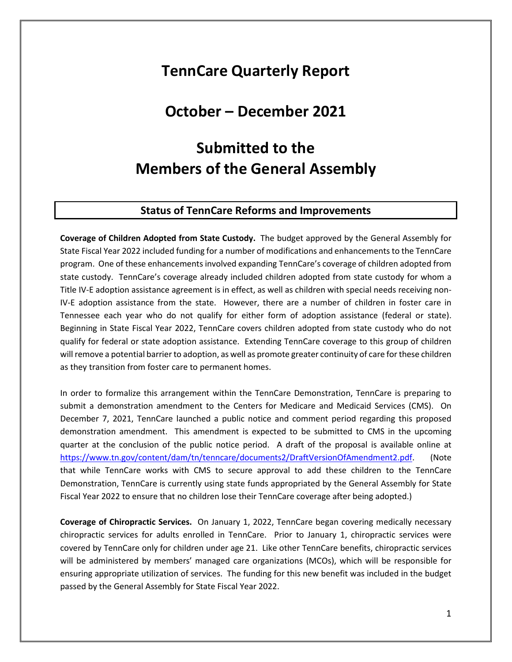# **TennCare Quarterly Report**

## **October – December 2021**

# **Submitted to the Members of the General Assembly**

#### **Status of TennCare Reforms and Improvements**

**Coverage of Children Adopted from State Custody.** The budget approved by the General Assembly for State Fiscal Year 2022 included funding for a number of modifications and enhancements to the TennCare program. One of these enhancements involved expanding TennCare's coverage of children adopted from state custody. TennCare's coverage already included children adopted from state custody for whom a Title IV-E adoption assistance agreement is in effect, as well as children with special needs receiving non-IV-E adoption assistance from the state. However, there are a number of children in foster care in Tennessee each year who do not qualify for either form of adoption assistance (federal or state). Beginning in State Fiscal Year 2022, TennCare covers children adopted from state custody who do not qualify for federal or state adoption assistance. Extending TennCare coverage to this group of children will remove a potential barrier to adoption, as well as promote greater continuity of care for these children as they transition from foster care to permanent homes.

In order to formalize this arrangement within the TennCare Demonstration, TennCare is preparing to submit a demonstration amendment to the Centers for Medicare and Medicaid Services (CMS). On December 7, 2021, TennCare launched a public notice and comment period regarding this proposed demonstration amendment. This amendment is expected to be submitted to CMS in the upcoming quarter at the conclusion of the public notice period. A draft of the proposal is available online at [https://www.tn.gov/content/dam/tn/tenncare/documents2/DraftVersionOfAmendment2.pdf.](https://www.tn.gov/content/dam/tn/tenncare/documents2/DraftVersionOfAmendment2.pdf) (Note that while TennCare works with CMS to secure approval to add these children to the TennCare Demonstration, TennCare is currently using state funds appropriated by the General Assembly for State Fiscal Year 2022 to ensure that no children lose their TennCare coverage after being adopted.)

**Coverage of Chiropractic Services.** On January 1, 2022, TennCare began covering medically necessary chiropractic services for adults enrolled in TennCare. Prior to January 1, chiropractic services were covered by TennCare only for children under age 21. Like other TennCare benefits, chiropractic services will be administered by members' managed care organizations (MCOs), which will be responsible for ensuring appropriate utilization of services. The funding for this new benefit was included in the budget passed by the General Assembly for State Fiscal Year 2022.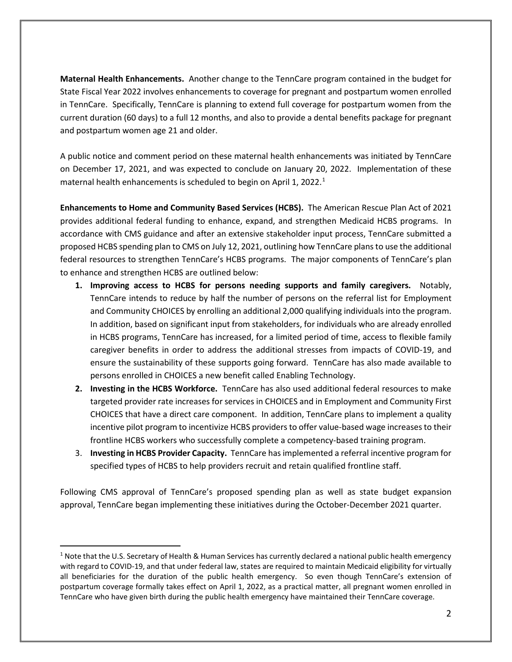**Maternal Health Enhancements.** Another change to the TennCare program contained in the budget for State Fiscal Year 2022 involves enhancements to coverage for pregnant and postpartum women enrolled in TennCare. Specifically, TennCare is planning to extend full coverage for postpartum women from the current duration (60 days) to a full 12 months, and also to provide a dental benefits package for pregnant and postpartum women age 21 and older.

A public notice and comment period on these maternal health enhancements was initiated by TennCare on December 17, 2021, and was expected to conclude on January 20, 2022. Implementation of these maternal health enhancements is scheduled to begin on April [1](#page-1-0), 2022.<sup>1</sup>

**Enhancements to Home and Community Based Services (HCBS).** The American Rescue Plan Act of 2021 provides additional federal funding to enhance, expand, and strengthen Medicaid HCBS programs. In accordance with CMS guidance and after an extensive stakeholder input process, TennCare submitted a proposed HCBS spending plan to CMS on July 12, 2021, outlining how TennCare plans to use the additional federal resources to strengthen TennCare's HCBS programs. The major components of TennCare's plan to enhance and strengthen HCBS are outlined below:

- **1. Improving access to HCBS for persons needing supports and family caregivers.** Notably, TennCare intends to reduce by half the number of persons on the referral list for Employment and Community CHOICES by enrolling an additional 2,000 qualifying individuals into the program. In addition, based on significant input from stakeholders, for individuals who are already enrolled in HCBS programs, TennCare has increased, for a limited period of time, access to flexible family caregiver benefits in order to address the additional stresses from impacts of COVID-19, and ensure the sustainability of these supports going forward. TennCare has also made available to persons enrolled in CHOICES a new benefit called Enabling Technology.
- **2. Investing in the HCBS Workforce.** TennCare has also used additional federal resources to make targeted provider rate increases for services in CHOICES and in Employment and Community First CHOICES that have a direct care component. In addition, TennCare plans to implement a quality incentive pilot program to incentivize HCBS providers to offer value-based wage increases to their frontline HCBS workers who successfully complete a competency-based training program.
- 3. **Investing in HCBS Provider Capacity.** TennCare has implemented a referral incentive program for specified types of HCBS to help providers recruit and retain qualified frontline staff.

Following CMS approval of TennCare's proposed spending plan as well as state budget expansion approval, TennCare began implementing these initiatives during the October-December 2021 quarter.

<span id="page-1-0"></span> $1$  Note that the U.S. Secretary of Health & Human Services has currently declared a national public health emergency with regard to COVID-19, and that under federal law, states are required to maintain Medicaid eligibility for virtually all beneficiaries for the duration of the public health emergency. So even though TennCare's extension of postpartum coverage formally takes effect on April 1, 2022, as a practical matter, all pregnant women enrolled in TennCare who have given birth during the public health emergency have maintained their TennCare coverage.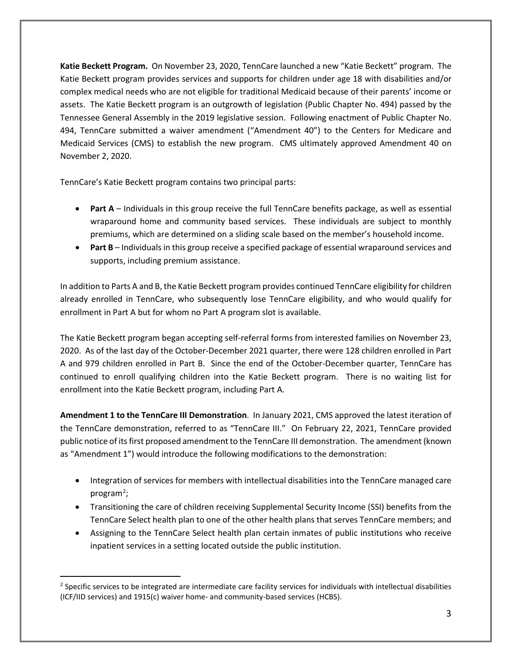**Katie Beckett Program.** On November 23, 2020, TennCare launched a new "Katie Beckett" program. The Katie Beckett program provides services and supports for children under age 18 with disabilities and/or complex medical needs who are not eligible for traditional Medicaid because of their parents' income or assets. The Katie Beckett program is an outgrowth of legislation (Public Chapter No. 494) passed by the Tennessee General Assembly in the 2019 legislative session. Following enactment of Public Chapter No. 494, TennCare submitted a waiver amendment ("Amendment 40") to the Centers for Medicare and Medicaid Services (CMS) to establish the new program. CMS ultimately approved Amendment 40 on November 2, 2020.

TennCare's Katie Beckett program contains two principal parts:

- **Part A** Individuals in this group receive the full TennCare benefits package, as well as essential wraparound home and community based services. These individuals are subject to monthly premiums, which are determined on a sliding scale based on the member's household income.
- **Part B** Individuals in this group receive a specified package of essential wraparound services and supports, including premium assistance.

In addition to Parts A and B, the Katie Beckett program provides continued TennCare eligibility for children already enrolled in TennCare, who subsequently lose TennCare eligibility, and who would qualify for enrollment in Part A but for whom no Part A program slot is available.

The Katie Beckett program began accepting self-referral forms from interested families on November 23, 2020. As of the last day of the October-December 2021 quarter, there were 128 children enrolled in Part A and 979 children enrolled in Part B. Since the end of the October-December quarter, TennCare has continued to enroll qualifying children into the Katie Beckett program. There is no waiting list for enrollment into the Katie Beckett program, including Part A.

**Amendment 1 to the TennCare III Demonstration**. In January 2021, CMS approved the latest iteration of the TennCare demonstration, referred to as "TennCare III." On February 22, 2021, TennCare provided public notice of its first proposed amendment to the TennCare III demonstration. The amendment (known as "Amendment 1") would introduce the following modifications to the demonstration:

- Integration of services for members with intellectual disabilities into the TennCare managed care program<sup>[2](#page-2-0)</sup>;
- Transitioning the care of children receiving Supplemental Security Income (SSI) benefits from the TennCare Select health plan to one of the other health plans that serves TennCare members; and
- Assigning to the TennCare Select health plan certain inmates of public institutions who receive inpatient services in a setting located outside the public institution.

<span id="page-2-0"></span><sup>&</sup>lt;sup>2</sup> Specific services to be integrated are intermediate care facility services for individuals with intellectual disabilities (ICF/IID services) and 1915(c) waiver home- and community-based services (HCBS).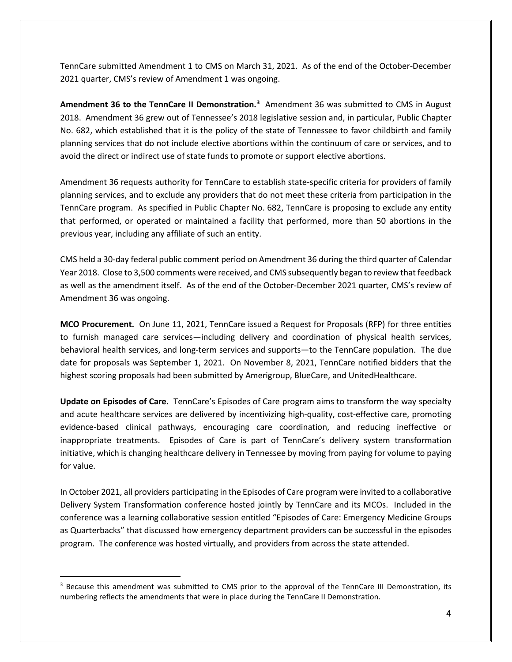TennCare submitted Amendment 1 to CMS on March 31, 2021. As of the end of the October-December 2021 quarter, CMS's review of Amendment 1 was ongoing.

Amendment [3](#page-3-0)6 to the TennCare II Demonstration.<sup>3</sup> Amendment 36 was submitted to CMS in August 2018. Amendment 36 grew out of Tennessee's 2018 legislative session and, in particular, Public Chapter No. 682, which established that it is the policy of the state of Tennessee to favor childbirth and family planning services that do not include elective abortions within the continuum of care or services, and to avoid the direct or indirect use of state funds to promote or support elective abortions.

Amendment 36 requests authority for TennCare to establish state-specific criteria for providers of family planning services, and to exclude any providers that do not meet these criteria from participation in the TennCare program. As specified in Public Chapter No. 682, TennCare is proposing to exclude any entity that performed, or operated or maintained a facility that performed, more than 50 abortions in the previous year, including any affiliate of such an entity.

CMS held a 30-day federal public comment period on Amendment 36 during the third quarter of Calendar Year 2018. Close to 3,500 comments were received, and CMS subsequently began to review that feedback as well as the amendment itself. As of the end of the October-December 2021 quarter, CMS's review of Amendment 36 was ongoing.

**MCO Procurement.** On June 11, 2021, TennCare issued a Request for Proposals (RFP) for three entities to furnish managed care services—including delivery and coordination of physical health services, behavioral health services, and long-term services and supports—to the TennCare population. The due date for proposals was September 1, 2021. On November 8, 2021, TennCare notified bidders that the highest scoring proposals had been submitted by Amerigroup, BlueCare, and UnitedHealthcare.

**Update on Episodes of Care.** TennCare's Episodes of Care program aims to transform the way specialty and acute healthcare services are delivered by incentivizing high-quality, cost-effective care, promoting evidence-based clinical pathways, encouraging care coordination, and reducing ineffective or inappropriate treatments. Episodes of Care is part of TennCare's delivery system transformation initiative, which is changing healthcare delivery in Tennessee by moving from paying for volume to paying for value.

In October 2021, all providers participating in the Episodes of Care program were invited to a collaborative Delivery System Transformation conference hosted jointly by TennCare and its MCOs. Included in the conference was a learning collaborative session entitled "Episodes of Care: Emergency Medicine Groups as Quarterbacks" that discussed how emergency department providers can be successful in the episodes program. The conference was hosted virtually, and providers from across the state attended.

<span id="page-3-0"></span><sup>&</sup>lt;sup>3</sup> Because this amendment was submitted to CMS prior to the approval of the TennCare III Demonstration, its numbering reflects the amendments that were in place during the TennCare II Demonstration.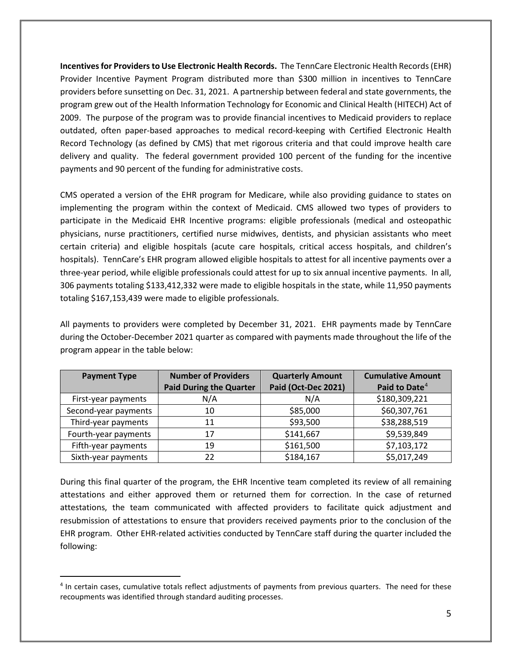**Incentives for Providers to Use Electronic Health Records.** The TennCare Electronic Health Records (EHR) Provider Incentive Payment Program distributed more than \$300 million in incentives to TennCare providers before sunsetting on Dec. 31, 2021. A partnership between federal and state governments, the program grew out of the Health Information Technology for Economic and Clinical Health (HITECH) Act of 2009. The purpose of the program was to provide financial incentives to Medicaid providers to replace outdated, often paper-based approaches to medical record-keeping with Certified Electronic Health Record Technology (as defined by CMS) that met rigorous criteria and that could improve health care delivery and quality. The federal government provided 100 percent of the funding for the incentive payments and 90 percent of the funding for administrative costs.

CMS operated a version of the EHR program for Medicare, while also providing guidance to states on implementing the program within the context of Medicaid. CMS allowed two types of providers to participate in the Medicaid EHR Incentive programs: eligible professionals (medical and osteopathic physicians, nurse practitioners, certified nurse midwives, dentists, and physician assistants who meet certain criteria) and eligible hospitals (acute care hospitals, critical access hospitals, and children's hospitals). TennCare's EHR program allowed eligible hospitals to attest for all incentive payments over a three-year period, while eligible professionals could attest for up to six annual incentive payments. In all, 306 payments totaling \$133,412,332 were made to eligible hospitals in the state, while 11,950 payments totaling \$167,153,439 were made to eligible professionals.

All payments to providers were completed by December 31, 2021. EHR payments made by TennCare during the October-December 2021 quarter as compared with payments made throughout the life of the program appear in the table below:

| <b>Payment Type</b>  | <b>Number of Providers</b>     | <b>Quarterly Amount</b> | <b>Cumulative Amount</b>  |
|----------------------|--------------------------------|-------------------------|---------------------------|
|                      | <b>Paid During the Quarter</b> | Paid (Oct-Dec 2021)     | Paid to Date <sup>4</sup> |
| First-year payments  | N/A                            | N/A                     | \$180,309,221             |
| Second-year payments | 10                             | \$85,000                | \$60,307,761              |
| Third-year payments  | 11                             | \$93,500                | \$38,288,519              |
| Fourth-year payments | 17                             | \$141,667               | \$9,539,849               |
| Fifth-year payments  | 19                             | \$161,500               | \$7,103,172               |
| Sixth-year payments  | 22                             | \$184,167               | \$5,017,249               |

During this final quarter of the program, the EHR Incentive team completed its review of all remaining attestations and either approved them or returned them for correction. In the case of returned attestations, the team communicated with affected providers to facilitate quick adjustment and resubmission of attestations to ensure that providers received payments prior to the conclusion of the EHR program. Other EHR-related activities conducted by TennCare staff during the quarter included the following:

<span id="page-4-0"></span><sup>4</sup> In certain cases, cumulative totals reflect adjustments of payments from previous quarters. The need for these recoupments was identified through standard auditing processes.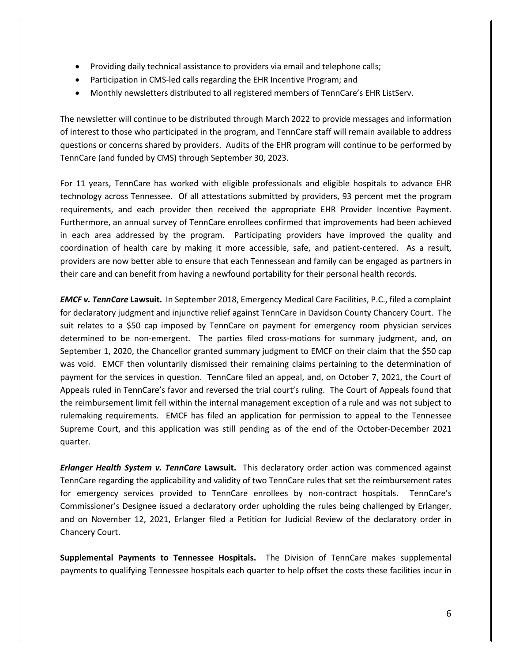- Providing daily technical assistance to providers via email and telephone calls;
- Participation in CMS-led calls regarding the EHR Incentive Program; and
- Monthly newsletters distributed to all registered members of TennCare's EHR ListServ.

The newsletter will continue to be distributed through March 2022 to provide messages and information of interest to those who participated in the program, and TennCare staff will remain available to address questions or concerns shared by providers. Audits of the EHR program will continue to be performed by TennCare (and funded by CMS) through September 30, 2023.

For 11 years, TennCare has worked with eligible professionals and eligible hospitals to advance EHR technology across Tennessee. Of all attestations submitted by providers, 93 percent met the program requirements, and each provider then received the appropriate EHR Provider Incentive Payment. Furthermore, an annual survey of TennCare enrollees confirmed that improvements had been achieved in each area addressed by the program. Participating providers have improved the quality and coordination of health care by making it more accessible, safe, and patient-centered. As a result, providers are now better able to ensure that each Tennessean and family can be engaged as partners in their care and can benefit from having a newfound portability for their personal health records.

*EMCF v. TennCare* **Lawsuit.** In September 2018, Emergency Medical Care Facilities, P.C., filed a complaint for declaratory judgment and injunctive relief against TennCare in Davidson County Chancery Court. The suit relates to a \$50 cap imposed by TennCare on payment for emergency room physician services determined to be non-emergent. The parties filed cross-motions for summary judgment, and, on September 1, 2020, the Chancellor granted summary judgment to EMCF on their claim that the \$50 cap was void. EMCF then voluntarily dismissed their remaining claims pertaining to the determination of payment for the services in question. TennCare filed an appeal, and, on October 7, 2021, the Court of Appeals ruled in TennCare's favor and reversed the trial court's ruling. The Court of Appeals found that the reimbursement limit fell within the internal management exception of a rule and was not subject to rulemaking requirements. EMCF has filed an application for permission to appeal to the Tennessee Supreme Court, and this application was still pending as of the end of the October-December 2021 quarter.

*Erlanger Health System v. TennCare* **Lawsuit.** This declaratory order action was commenced against TennCare regarding the applicability and validity of two TennCare rules that set the reimbursement rates for emergency services provided to TennCare enrollees by non-contract hospitals. TennCare's Commissioner's Designee issued a declaratory order upholding the rules being challenged by Erlanger, and on November 12, 2021, Erlanger filed a Petition for Judicial Review of the declaratory order in Chancery Court.

**Supplemental Payments to Tennessee Hospitals.** The Division of TennCare makes supplemental payments to qualifying Tennessee hospitals each quarter to help offset the costs these facilities incur in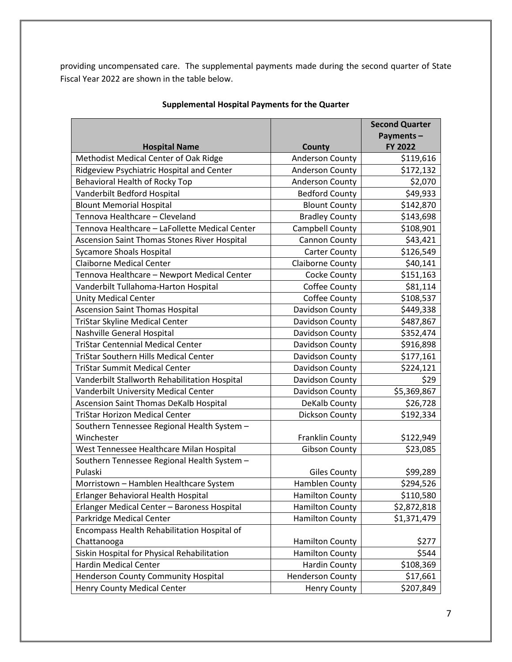providing uncompensated care. The supplemental payments made during the second quarter of State Fiscal Year 2022 are shown in the table below.

|                                                |                         | <b>Second Quarter</b> |
|------------------------------------------------|-------------------------|-----------------------|
|                                                |                         | Payments-             |
| <b>Hospital Name</b>                           | County                  | <b>FY 2022</b>        |
| Methodist Medical Center of Oak Ridge          | Anderson County         | \$119,616             |
| Ridgeview Psychiatric Hospital and Center      | Anderson County         | \$172,132             |
| <b>Behavioral Health of Rocky Top</b>          | <b>Anderson County</b>  | \$2,070               |
| Vanderbilt Bedford Hospital                    | <b>Bedford County</b>   | \$49,933              |
| <b>Blount Memorial Hospital</b>                | <b>Blount County</b>    | \$142,870             |
| Tennova Healthcare - Cleveland                 | <b>Bradley County</b>   | \$143,698             |
| Tennova Healthcare - LaFollette Medical Center | Campbell County         | \$108,901             |
| Ascension Saint Thomas Stones River Hospital   | Cannon County           | \$43,421              |
| <b>Sycamore Shoals Hospital</b>                | <b>Carter County</b>    | \$126,549             |
| <b>Claiborne Medical Center</b>                | <b>Claiborne County</b> | \$40,141              |
| Tennova Healthcare - Newport Medical Center    | Cocke County            | \$151,163             |
| Vanderbilt Tullahoma-Harton Hospital           | Coffee County           | \$81,114              |
| <b>Unity Medical Center</b>                    | Coffee County           | \$108,537             |
| <b>Ascension Saint Thomas Hospital</b>         | Davidson County         | \$449,338             |
| TriStar Skyline Medical Center                 | Davidson County         | \$487,867             |
| Nashville General Hospital                     | Davidson County         | \$352,474             |
| <b>TriStar Centennial Medical Center</b>       | Davidson County         | \$916,898             |
| <b>TriStar Southern Hills Medical Center</b>   | Davidson County         | \$177,161             |
| <b>TriStar Summit Medical Center</b>           | Davidson County         | \$224,121             |
| Vanderbilt Stallworth Rehabilitation Hospital  | Davidson County         | \$29                  |
| Vanderbilt University Medical Center           | Davidson County         | \$5,369,867           |
| <b>Ascension Saint Thomas DeKalb Hospital</b>  | DeKalb County           | \$26,728              |
| <b>TriStar Horizon Medical Center</b>          | Dickson County          | \$192,334             |
| Southern Tennessee Regional Health System -    |                         |                       |
| Winchester                                     | <b>Franklin County</b>  | \$122,949             |
| West Tennessee Healthcare Milan Hospital       | <b>Gibson County</b>    | \$23,085              |
| Southern Tennessee Regional Health System -    |                         |                       |
| Pulaski                                        | <b>Giles County</b>     | \$99,289              |
| Morristown - Hamblen Healthcare System         | <b>Hamblen County</b>   | \$294,526             |
| Erlanger Behavioral Health Hospital            | <b>Hamilton County</b>  | \$110,580             |
| Erlanger Medical Center - Baroness Hospital    | <b>Hamilton County</b>  | \$2,872,818           |
| Parkridge Medical Center                       | <b>Hamilton County</b>  | \$1,371,479           |
| Encompass Health Rehabilitation Hospital of    |                         |                       |
| Chattanooga                                    | <b>Hamilton County</b>  | \$277                 |
| Siskin Hospital for Physical Rehabilitation    | <b>Hamilton County</b>  | \$544                 |
| Hardin Medical Center                          | <b>Hardin County</b>    | \$108,369             |
| Henderson County Community Hospital            | <b>Henderson County</b> | \$17,661              |
| Henry County Medical Center                    | <b>Henry County</b>     | \$207,849             |

#### **Supplemental Hospital Payments for the Quarter**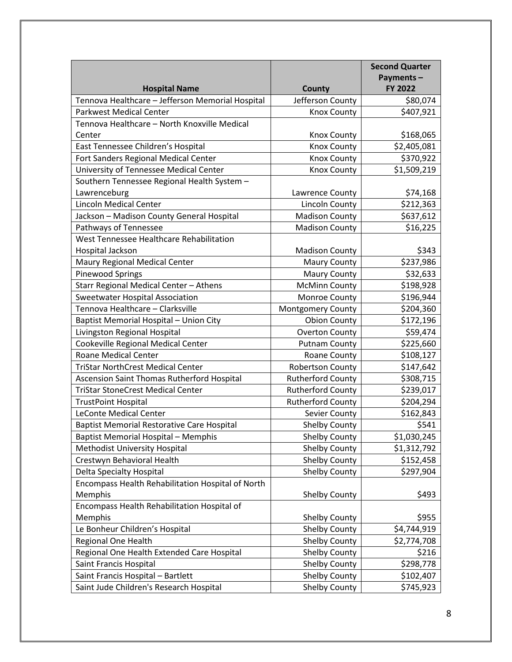|                                                   |                          | <b>Second Quarter</b> |
|---------------------------------------------------|--------------------------|-----------------------|
|                                                   |                          | Payments-             |
| <b>Hospital Name</b>                              | County                   | FY 2022               |
| Tennova Healthcare - Jefferson Memorial Hospital  | Jefferson County         | \$80,074              |
| <b>Parkwest Medical Center</b>                    | <b>Knox County</b>       | \$407,921             |
| Tennova Healthcare - North Knoxville Medical      |                          |                       |
| Center                                            | <b>Knox County</b>       | \$168,065             |
| East Tennessee Children's Hospital                | <b>Knox County</b>       | \$2,405,081           |
| Fort Sanders Regional Medical Center              | <b>Knox County</b>       | \$370,922             |
| University of Tennessee Medical Center            | <b>Knox County</b>       | \$1,509,219           |
| Southern Tennessee Regional Health System -       |                          |                       |
| Lawrenceburg                                      | Lawrence County          | \$74,168              |
| <b>Lincoln Medical Center</b>                     | Lincoln County           | \$212,363             |
| Jackson - Madison County General Hospital         | <b>Madison County</b>    | \$637,612             |
| Pathways of Tennessee                             | <b>Madison County</b>    | \$16,225              |
| West Tennessee Healthcare Rehabilitation          |                          |                       |
| Hospital Jackson                                  | <b>Madison County</b>    | \$343                 |
| Maury Regional Medical Center                     | <b>Maury County</b>      | \$237,986             |
| <b>Pinewood Springs</b>                           | <b>Maury County</b>      | \$32,633              |
| Starr Regional Medical Center - Athens            | <b>McMinn County</b>     | \$198,928             |
| <b>Sweetwater Hospital Association</b>            | Monroe County            | \$196,944             |
| Tennova Healthcare - Clarksville                  | <b>Montgomery County</b> | \$204,360             |
| Baptist Memorial Hospital - Union City            | <b>Obion County</b>      | \$172,196             |
| Livingston Regional Hospital                      | <b>Overton County</b>    | \$59,474              |
| Cookeville Regional Medical Center                | <b>Putnam County</b>     | \$225,660             |
| Roane Medical Center                              | Roane County             | \$108,127             |
| <b>TriStar NorthCrest Medical Center</b>          | <b>Robertson County</b>  | \$147,642             |
| Ascension Saint Thomas Rutherford Hospital        | <b>Rutherford County</b> | \$308,715             |
| <b>TriStar StoneCrest Medical Center</b>          | <b>Rutherford County</b> | \$239,017             |
| <b>TrustPoint Hospital</b>                        | <b>Rutherford County</b> | \$204,294             |
| <b>LeConte Medical Center</b>                     | Sevier County            | \$162,843             |
| <b>Baptist Memorial Restorative Care Hospital</b> | <b>Shelby County</b>     | \$541                 |
| Baptist Memorial Hospital – Memphis               | <b>Shelby County</b>     | \$1,030,245           |
| <b>Methodist University Hospital</b>              | <b>Shelby County</b>     | \$1,312,792           |
| Crestwyn Behavioral Health                        | Shelby County            | \$152,458             |
| Delta Specialty Hospital                          | Shelby County            | \$297,904             |
| Encompass Health Rehabilitation Hospital of North |                          |                       |
| Memphis                                           | <b>Shelby County</b>     | \$493                 |
| Encompass Health Rehabilitation Hospital of       |                          |                       |
| Memphis                                           | <b>Shelby County</b>     | \$955                 |
| Le Bonheur Children's Hospital                    | Shelby County            | \$4,744,919           |
| Regional One Health                               | <b>Shelby County</b>     | \$2,774,708           |
| Regional One Health Extended Care Hospital        | Shelby County            | \$216                 |
| Saint Francis Hospital                            | Shelby County            | \$298,778             |
| Saint Francis Hospital - Bartlett                 | <b>Shelby County</b>     | \$102,407             |
| Saint Jude Children's Research Hospital           | Shelby County            | \$745,923             |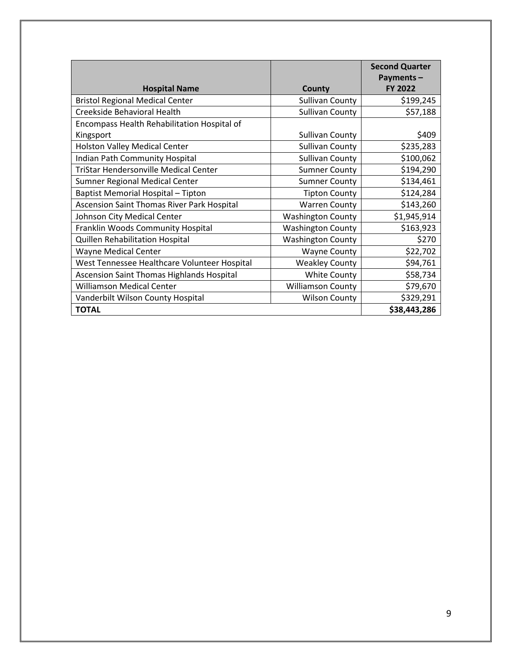|                                                  |                          | <b>Second Quarter</b> |
|--------------------------------------------------|--------------------------|-----------------------|
|                                                  |                          | Payments-             |
| <b>Hospital Name</b>                             | County                   | <b>FY 2022</b>        |
| <b>Bristol Regional Medical Center</b>           | <b>Sullivan County</b>   | \$199,245             |
| Creekside Behavioral Health                      | <b>Sullivan County</b>   | \$57,188              |
| Encompass Health Rehabilitation Hospital of      |                          |                       |
| Kingsport                                        | <b>Sullivan County</b>   | \$409                 |
| Holston Valley Medical Center                    | <b>Sullivan County</b>   | \$235,283             |
| Indian Path Community Hospital                   | <b>Sullivan County</b>   | \$100,062             |
| TriStar Hendersonville Medical Center            | <b>Sumner County</b>     | \$194,290             |
| Sumner Regional Medical Center                   | <b>Sumner County</b>     | \$134,461             |
| Baptist Memorial Hospital - Tipton               | <b>Tipton County</b>     | \$124,284             |
| Ascension Saint Thomas River Park Hospital       | <b>Warren County</b>     | \$143,260             |
| Johnson City Medical Center                      | <b>Washington County</b> | \$1,945,914           |
| Franklin Woods Community Hospital                | <b>Washington County</b> | \$163,923             |
| Quillen Rehabilitation Hospital                  | <b>Washington County</b> | \$270                 |
| <b>Wayne Medical Center</b>                      | <b>Wayne County</b>      | \$22,702              |
| West Tennessee Healthcare Volunteer Hospital     | <b>Weakley County</b>    | \$94,761              |
| <b>Ascension Saint Thomas Highlands Hospital</b> | <b>White County</b>      | \$58,734              |
| <b>Williamson Medical Center</b>                 | <b>Williamson County</b> | \$79,670              |
| Vanderbilt Wilson County Hospital                | <b>Wilson County</b>     | \$329,291             |
| <b>TOTAL</b>                                     |                          | \$38,443,286          |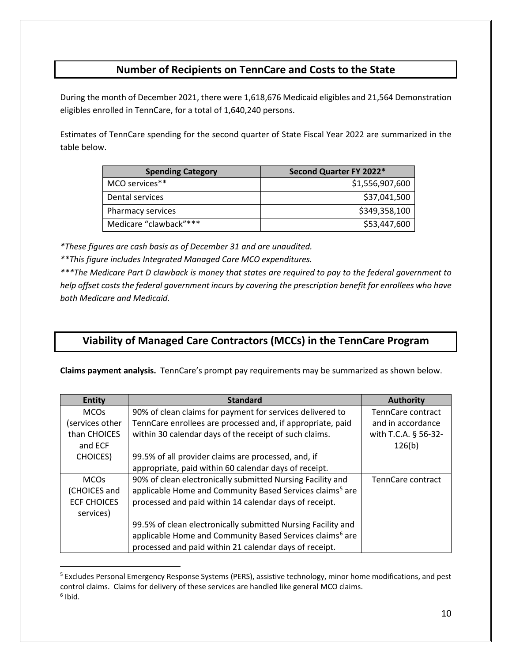### **Number of Recipients on TennCare and Costs to the State**

During the month of December 2021, there were 1,618,676 Medicaid eligibles and 21,564 Demonstration eligibles enrolled in TennCare, for a total of 1,640,240 persons.

Estimates of TennCare spending for the second quarter of State Fiscal Year 2022 are summarized in the table below.

| <b>Spending Category</b> | Second Quarter FY 2022* |
|--------------------------|-------------------------|
| MCO services**           | \$1,556,907,600         |
| Dental services          | \$37,041,500            |
| Pharmacy services        | \$349,358,100           |
| Medicare "clawback"***   | \$53,447,600            |

*\*These figures are cash basis as of December 31 and are unaudited.*

*\*\*This figure includes Integrated Managed Care MCO expenditures.*

*\*\*\*The Medicare Part D clawback is money that states are required to pay to the federal government to help offset costs the federal government incurs by covering the prescription benefit for enrollees who have both Medicare and Medicaid.*

## **Viability of Managed Care Contractors (MCCs) in the TennCare Program**

**Claims payment analysis.** TennCare's prompt pay requirements may be summarized as shown below.

| <b>Entity</b>      | <b>Standard</b>                                                      | <b>Authority</b>     |
|--------------------|----------------------------------------------------------------------|----------------------|
| <b>MCOs</b>        | 90% of clean claims for payment for services delivered to            | TennCare contract    |
| services other)    | TennCare enrollees are processed and, if appropriate, paid           | and in accordance    |
| than CHOICES       | within 30 calendar days of the receipt of such claims.               | with T.C.A. § 56-32- |
| and ECF            |                                                                      | 126(b)               |
| <b>CHOICES</b> )   | 99.5% of all provider claims are processed, and, if                  |                      |
|                    | appropriate, paid within 60 calendar days of receipt.                |                      |
| <b>MCOs</b>        | 90% of clean electronically submitted Nursing Facility and           | TennCare contract    |
| (CHOICES and       | applicable Home and Community Based Services claims <sup>5</sup> are |                      |
| <b>ECF CHOICES</b> | processed and paid within 14 calendar days of receipt.               |                      |
| services)          |                                                                      |                      |
|                    | 99.5% of clean electronically submitted Nursing Facility and         |                      |
|                    | applicable Home and Community Based Services claims <sup>6</sup> are |                      |
|                    | processed and paid within 21 calendar days of receipt.               |                      |

<span id="page-9-1"></span><span id="page-9-0"></span><sup>5</sup> Excludes Personal Emergency Response Systems (PERS), assistive technology, minor home modifications, and pest control claims. Claims for delivery of these services are handled like general MCO claims.  $6$  Ibid.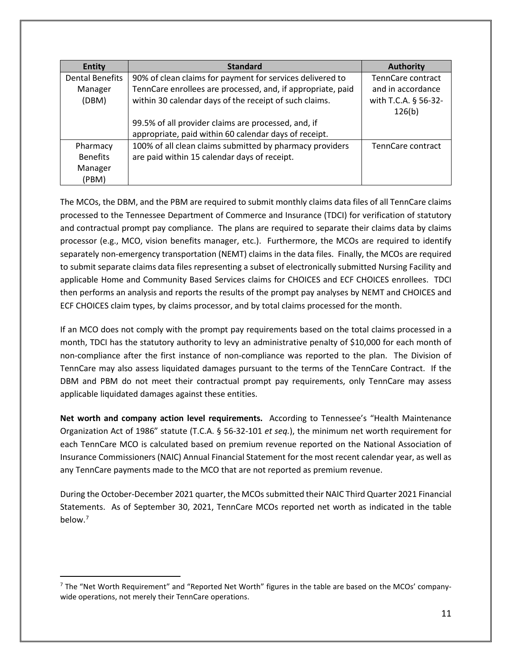| <b>Entity</b>          | <b>Standard</b>                                             | <b>Authority</b>     |
|------------------------|-------------------------------------------------------------|----------------------|
| <b>Dental Benefits</b> | 90% of clean claims for payment for services delivered to   | TennCare contract    |
| Manager                | TennCare enrollees are processed, and, if appropriate, paid | and in accordance    |
| (DBM)                  | within 30 calendar days of the receipt of such claims.      | with T.C.A. § 56-32- |
|                        |                                                             | 126(b)               |
|                        | 99.5% of all provider claims are processed, and, if         |                      |
|                        | appropriate, paid within 60 calendar days of receipt.       |                      |
| Pharmacy               | 100% of all clean claims submitted by pharmacy providers    | TennCare contract    |
| <b>Benefits</b>        | are paid within 15 calendar days of receipt.                |                      |
| Manager                |                                                             |                      |
| (PBM)                  |                                                             |                      |

The MCOs, the DBM, and the PBM are required to submit monthly claims data files of all TennCare claims processed to the Tennessee Department of Commerce and Insurance (TDCI) for verification of statutory and contractual prompt pay compliance. The plans are required to separate their claims data by claims processor (e.g., MCO, vision benefits manager, etc.). Furthermore, the MCOs are required to identify separately non-emergency transportation (NEMT) claims in the data files. Finally, the MCOs are required to submit separate claims data files representing a subset of electronically submitted Nursing Facility and applicable Home and Community Based Services claims for CHOICES and ECF CHOICES enrollees. TDCI then performs an analysis and reports the results of the prompt pay analyses by NEMT and CHOICES and ECF CHOICES claim types, by claims processor, and by total claims processed for the month.

If an MCO does not comply with the prompt pay requirements based on the total claims processed in a month, TDCI has the statutory authority to levy an administrative penalty of \$10,000 for each month of non-compliance after the first instance of non-compliance was reported to the plan. The Division of TennCare may also assess liquidated damages pursuant to the terms of the TennCare Contract. If the DBM and PBM do not meet their contractual prompt pay requirements, only TennCare may assess applicable liquidated damages against these entities.

**Net worth and company action level requirements.** According to Tennessee's "Health Maintenance Organization Act of 1986" statute (T.C.A. § 56-32-101 *et seq.*), the minimum net worth requirement for each TennCare MCO is calculated based on premium revenue reported on the National Association of Insurance Commissioners (NAIC) Annual Financial Statement for the most recent calendar year, as well as any TennCare payments made to the MCO that are not reported as premium revenue.

During the October-December 2021 quarter, the MCOs submitted their NAIC Third Quarter 2021 Financial Statements. As of September 30, 2021, TennCare MCOs reported net worth as indicated in the table below.<sup>[7](#page-10-0)</sup>

<span id="page-10-0"></span> $<sup>7</sup>$  The "Net Worth Requirement" and "Reported Net Worth" figures in the table are based on the MCOs' company-</sup> wide operations, not merely their TennCare operations.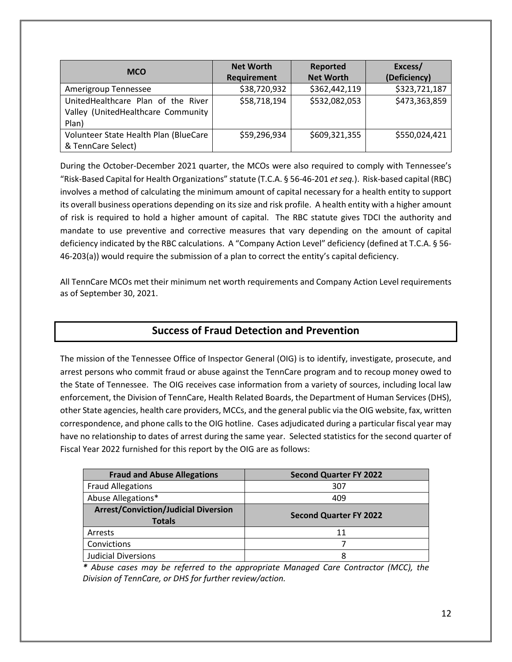| <b>MCO</b>                            | <b>Net Worth</b>   | Reported         | Excess/       |
|---------------------------------------|--------------------|------------------|---------------|
|                                       | <b>Requirement</b> | <b>Net Worth</b> | (Deficiency)  |
| Amerigroup Tennessee                  | \$38,720,932       | \$362,442,119    | \$323,721,187 |
| UnitedHealthcare Plan of the River    | \$58,718,194       | \$532,082,053    | \$473,363,859 |
| Valley (UnitedHealthcare Community    |                    |                  |               |
| Plan)                                 |                    |                  |               |
| Volunteer State Health Plan (BlueCare | \$59,296,934       | \$609,321,355    | \$550,024,421 |
| & TennCare Select)                    |                    |                  |               |

During the October-December 2021 quarter, the MCOs were also required to comply with Tennessee's "Risk-Based Capital for Health Organizations" statute (T.C.A. § 56-46-201 *et seq.*). Risk-based capital (RBC) involves a method of calculating the minimum amount of capital necessary for a health entity to support its overall business operations depending on its size and risk profile. A health entity with a higher amount of risk is required to hold a higher amount of capital. The RBC statute gives TDCI the authority and mandate to use preventive and corrective measures that vary depending on the amount of capital deficiency indicated by the RBC calculations. A "Company Action Level" deficiency (defined at T.C.A. § 56- 46-203(a)) would require the submission of a plan to correct the entity's capital deficiency.

All TennCare MCOs met their minimum net worth requirements and Company Action Level requirements as of September 30, 2021.

#### **Success of Fraud Detection and Prevention**

The mission of the Tennessee Office of Inspector General (OIG) is to identify, investigate, prosecute, and arrest persons who commit fraud or abuse against the TennCare program and to recoup money owed to the State of Tennessee.The OIG receives case information from a variety of sources, including local law enforcement, the Division of TennCare, Health Related Boards, the Department of Human Services (DHS), other State agencies, health care providers, MCCs, and the general public via the OIG website, fax, written correspondence, and phone calls to the OIG hotline. Cases adjudicated during a particular fiscal year may have no relationship to dates of arrest during the same year. Selected statistics for the second quarter of Fiscal Year 2022 furnished for this report by the OIG are as follows:

| <b>Fraud and Abuse Allegations</b>                           | <b>Second Quarter FY 2022</b> |
|--------------------------------------------------------------|-------------------------------|
| <b>Fraud Allegations</b>                                     | 307                           |
| Abuse Allegations*                                           | 409                           |
| <b>Arrest/Conviction/Judicial Diversion</b><br><b>Totals</b> | <b>Second Quarter FY 2022</b> |
| Arrests                                                      | 11                            |
| Convictions                                                  |                               |
| <b>Judicial Diversions</b>                                   | 8                             |

*\* Abuse cases may be referred to the appropriate Managed Care Contractor (MCC), the Division of TennCare, or DHS for further review/action.*